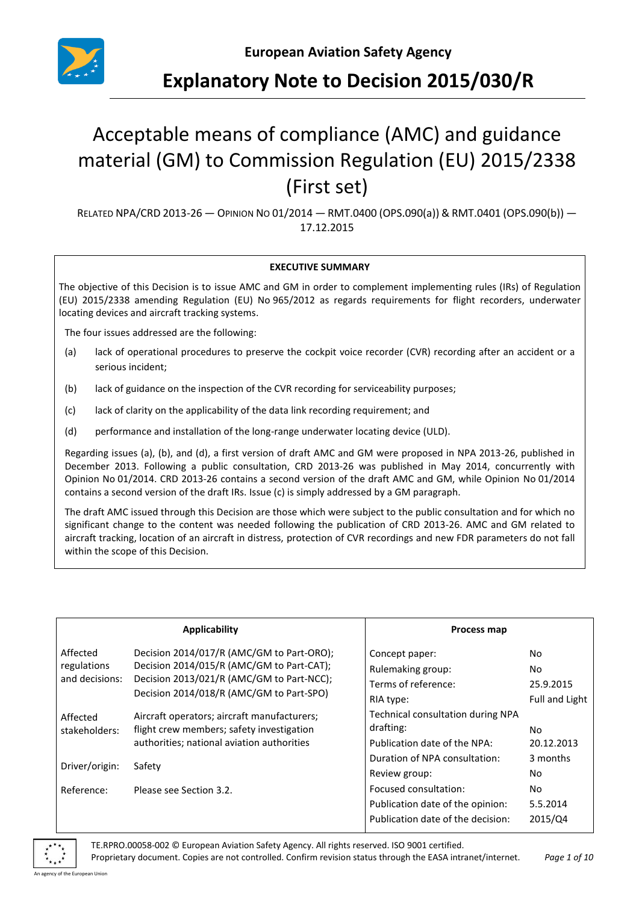

# **Explanatory Note to Decision 2015/030/R**

# Acceptable means of compliance (AMC) and guidance material (GM) to Commission Regulation (EU) 2015/2338 (First set)

RELATED NPA/CRD 2013-26 — OPINION NO 01/2014 — RMT.0400 (OPS.090(a)) & RMT.0401 (OPS.090(b)) — 17.12.2015

#### **EXECUTIVE SUMMARY**

The objective of this Decision is to issue AMC and GM in order to complement implementing rules (IRs) of Regulation (EU) 2015/2338 amending Regulation (EU) No 965/2012 as regards requirements for flight recorders, underwater locating devices and aircraft tracking systems.

The four issues addressed are the following:

- (a) lack of operational procedures to preserve the cockpit voice recorder (CVR) recording after an accident or a serious incident;
- (b) lack of guidance on the inspection of the CVR recording for serviceability purposes;
- (c) lack of clarity on the applicability of the data link recording requirement; and
- (d) performance and installation of the long-range underwater locating device (ULD).

Regarding issues (a), (b), and (d), a first version of draft AMC and GM were proposed in NPA 2013-26, published in December 2013. Following a public consultation, CRD 2013-26 was published in May 2014, concurrently with Opinion No 01/2014. CRD 2013-26 contains a second version of the draft AMC and GM, while Opinion No 01/2014 contains a second version of the draft IRs. Issue (c) is simply addressed by a GM paragraph.

The draft AMC issued through this Decision are those which were subject to the public consultation and for which no significant change to the content was needed following the publication of CRD 2013-26. AMC and GM related to aircraft tracking, location of an aircraft in distress, protection of CVR recordings and new FDR parameters do not fall within the scope of this Decision.

| Applicability                 |                                                                                                                                    | Process map                       |                       |
|-------------------------------|------------------------------------------------------------------------------------------------------------------------------------|-----------------------------------|-----------------------|
| Affected                      | Decision 2014/017/R (AMC/GM to Part-ORO);                                                                                          | Concept paper:                    | No                    |
| regulations<br>and decisions: | Decision 2014/015/R (AMC/GM to Part-CAT);<br>Decision 2013/021/R (AMC/GM to Part-NCC);<br>Decision 2014/018/R (AMC/GM to Part-SPO) | Rulemaking group:                 | No.                   |
|                               |                                                                                                                                    | Terms of reference:               | 25.9.2015             |
|                               |                                                                                                                                    | RIA type:                         | <b>Full and Light</b> |
| Affected                      | Aircraft operators; aircraft manufacturers;                                                                                        | Technical consultation during NPA |                       |
| stakeholders:                 | flight crew members; safety investigation                                                                                          | drafting:                         | No                    |
|                               | authorities; national aviation authorities                                                                                         | Publication date of the NPA:      | 20.12.2013            |
| Driver/origin:                | Safety                                                                                                                             | Duration of NPA consultation:     | 3 months              |
|                               |                                                                                                                                    | Review group:                     | No                    |
| Reference:                    | Please see Section 3.2.                                                                                                            | Focused consultation:             | No                    |
|                               |                                                                                                                                    | Publication date of the opinion:  | 5.5.2014              |
|                               |                                                                                                                                    | Publication date of the decision: | 2015/Q4               |



TE.RPRO.00058-002 © European Aviation Safety Agency. All rights reserved. ISO 9001 certified.

Proprietary document. Copies are not controlled. Confirm revision status through the EASA intranet/internet. *Page 1 of 10*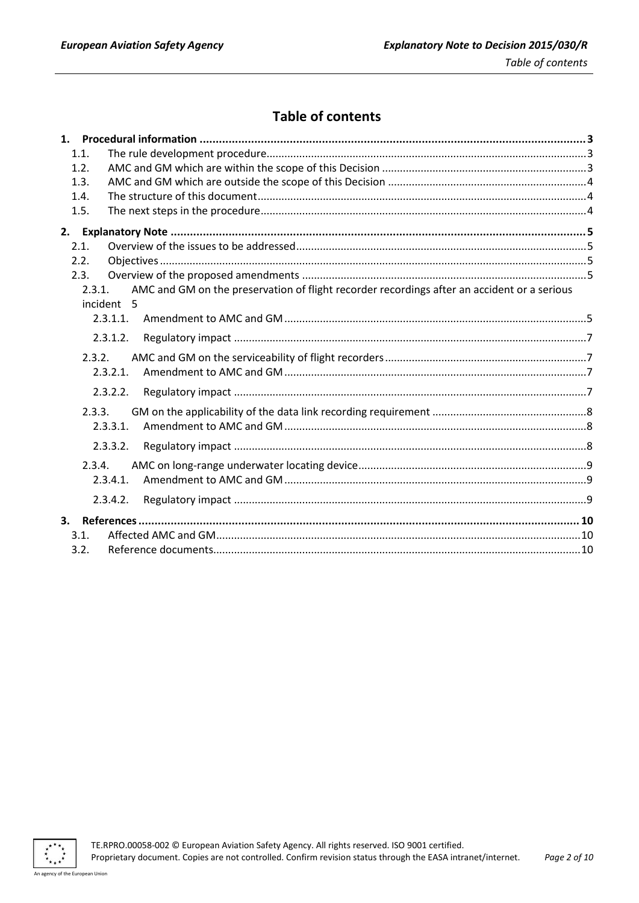# **Table of contents**

| 1.1.                                                                                                  |  |
|-------------------------------------------------------------------------------------------------------|--|
| 1.2.                                                                                                  |  |
| 1.3.                                                                                                  |  |
| 1.4.                                                                                                  |  |
| 1.5.                                                                                                  |  |
|                                                                                                       |  |
| 2.1.                                                                                                  |  |
| 2.2.                                                                                                  |  |
| 2.3.                                                                                                  |  |
| AMC and GM on the preservation of flight recorder recordings after an accident or a serious<br>2.3.1. |  |
| incident 5                                                                                            |  |
| 2.3.1.1.                                                                                              |  |
| 2.3.1.2.                                                                                              |  |
| 2.3.2.                                                                                                |  |
| 2.3.2.1.                                                                                              |  |
| 2.3.2.2.                                                                                              |  |
| 2.3.3.                                                                                                |  |
| 2.3.3.1.                                                                                              |  |
| 2.3.3.2.                                                                                              |  |
| 2.3.4.                                                                                                |  |
| 2.3.4.1.                                                                                              |  |
| 2.3.4.2.                                                                                              |  |
| 3.                                                                                                    |  |
| 3.1.                                                                                                  |  |
| 3.2.                                                                                                  |  |

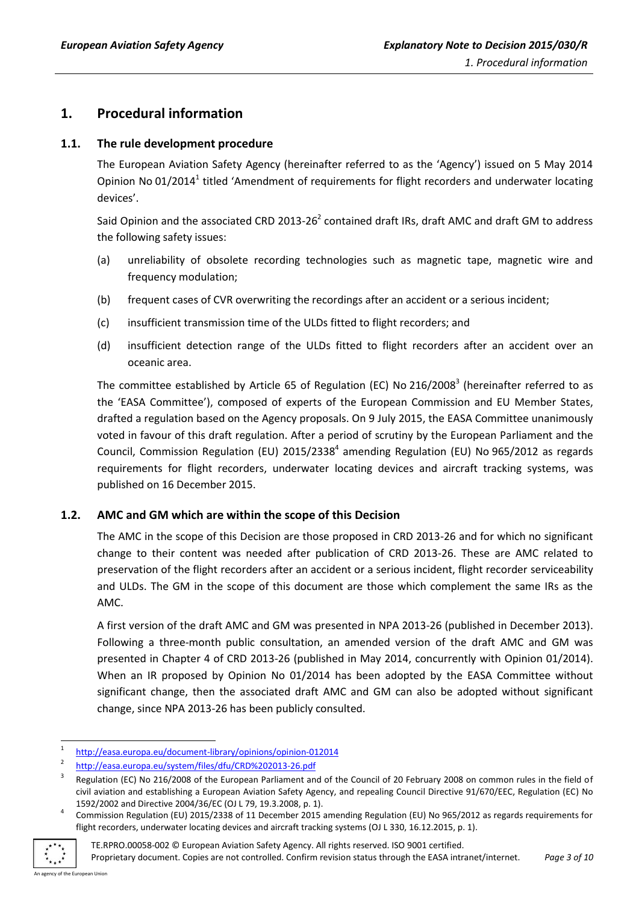## <span id="page-2-0"></span>**1. Procedural information**

#### <span id="page-2-1"></span>**1.1. The rule development procedure**

The European Aviation Safety Agency (hereinafter referred to as the 'Agency') issued on 5 May 2014 Opinion No 01/2014<sup>1</sup> titled 'Amendment of requirements for flight recorders and underwater locating devices'.

Said Opinion and the associated CRD 2013-26<sup>2</sup> contained draft IRs, draft AMC and draft GM to address the following safety issues:

- (a) unreliability of obsolete recording technologies such as magnetic tape, magnetic wire and frequency modulation;
- (b) frequent cases of CVR overwriting the recordings after an accident or a serious incident;
- (c) insufficient transmission time of the ULDs fitted to flight recorders; and
- (d) insufficient detection range of the ULDs fitted to flight recorders after an accident over an oceanic area.

The committee established by Article 65 of Regulation (EC) No 216/2008<sup>3</sup> (hereinafter referred to as the 'EASA Committee'), composed of experts of the European Commission and EU Member States, drafted a regulation based on the Agency proposals. On 9 July 2015, the EASA Committee unanimously voted in favour of this draft regulation. After a period of scrutiny by the European Parliament and the Council, Commission Regulation (EU)  $2015/2338<sup>4</sup>$  amending Regulation (EU) No 965/2012 as regards requirements for flight recorders, underwater locating devices and aircraft tracking systems, was published on 16 December 2015.

#### <span id="page-2-2"></span>**1.2. AMC and GM which are within the scope of this Decision**

The AMC in the scope of this Decision are those proposed in CRD 2013-26 and for which no significant change to their content was needed after publication of CRD 2013-26. These are AMC related to preservation of the flight recorders after an accident or a serious incident, flight recorder serviceability and ULDs. The GM in the scope of this document are those which complement the same IRs as the AMC.

A first version of the draft AMC and GM was presented in NPA 2013-26 (published in December 2013). Following a three-month public consultation, an amended version of the draft AMC and GM was presented in Chapter 4 of CRD 2013-26 (published in May 2014, concurrently with Opinion 01/2014). When an IR proposed by Opinion No 01/2014 has been adopted by the EASA Committee without significant change, then the associated draft AMC and GM can also be adopted without significant change, since NPA 2013-26 has been publicly consulted.

<sup>4</sup> Commission Regulation (EU) 2015/2338 of 11 December 2015 amending Regulation (EU) No 965/2012 as regards requirements for flight recorders, underwater locating devices and aircraft tracking systems (OJ L 330, 16.12.2015, p. 1).



**<sup>.</sup>** 1 <http://easa.europa.eu/document-library/opinions/opinion-012014>

<sup>2</sup> <http://easa.europa.eu/system/files/dfu/CRD%202013-26.pdf>

<sup>3</sup> Regulation (EC) No 216/2008 of the European Parliament and of the Council of 20 February 2008 on common rules in the field of civil aviation and establishing a European Aviation Safety Agency, and repealing Council Directive 91/670/EEC, Regulation (EC) No 1592/2002 and Directive 2004/36/EC (OJ L 79, 19.3.2008, p. 1).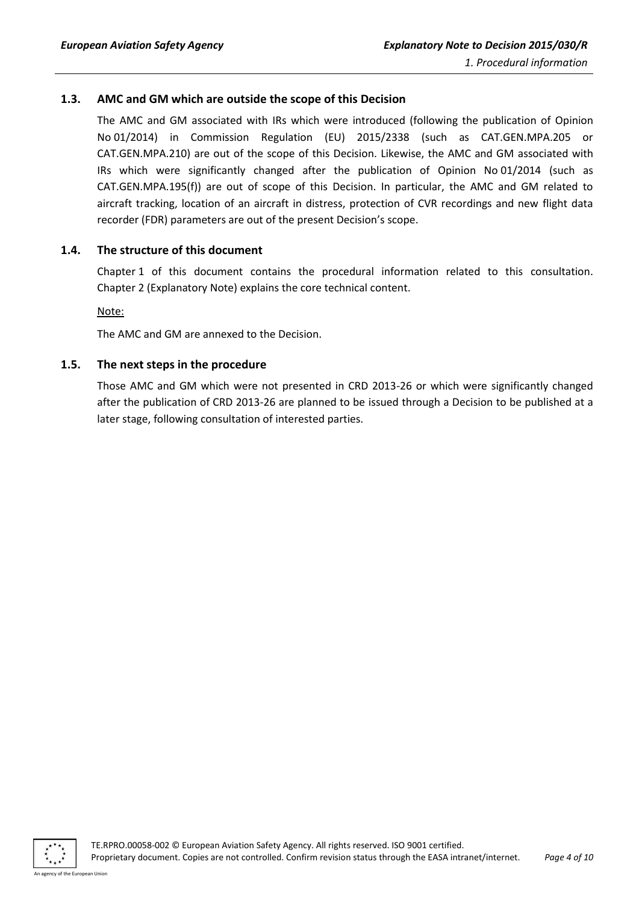#### <span id="page-3-0"></span>**1.3. AMC and GM which are outside the scope of this Decision**

The AMC and GM associated with IRs which were introduced (following the publication of Opinion No 01/2014) in Commission Regulation (EU) 2015/2338 (such as CAT.GEN.MPA.205 or CAT.GEN.MPA.210) are out of the scope of this Decision. Likewise, the AMC and GM associated with IRs which were significantly changed after the publication of Opinion No 01/2014 (such as CAT.GEN.MPA.195(f)) are out of scope of this Decision. In particular, the AMC and GM related to aircraft tracking, location of an aircraft in distress, protection of CVR recordings and new flight data recorder (FDR) parameters are out of the present Decision's scope.

#### <span id="page-3-1"></span>**1.4. The structure of this document**

Chapter 1 of this document contains the procedural information related to this consultation. Chapter 2 (Explanatory Note) explains the core technical content.

Note:

The AMC and GM are annexed to the Decision.

#### <span id="page-3-2"></span>**1.5. The next steps in the procedure**

Those AMC and GM which were not presented in CRD 2013-26 or which were significantly changed after the publication of CRD 2013-26 are planned to be issued through a Decision to be published at a later stage, following consultation of interested parties.



An agency of the European Union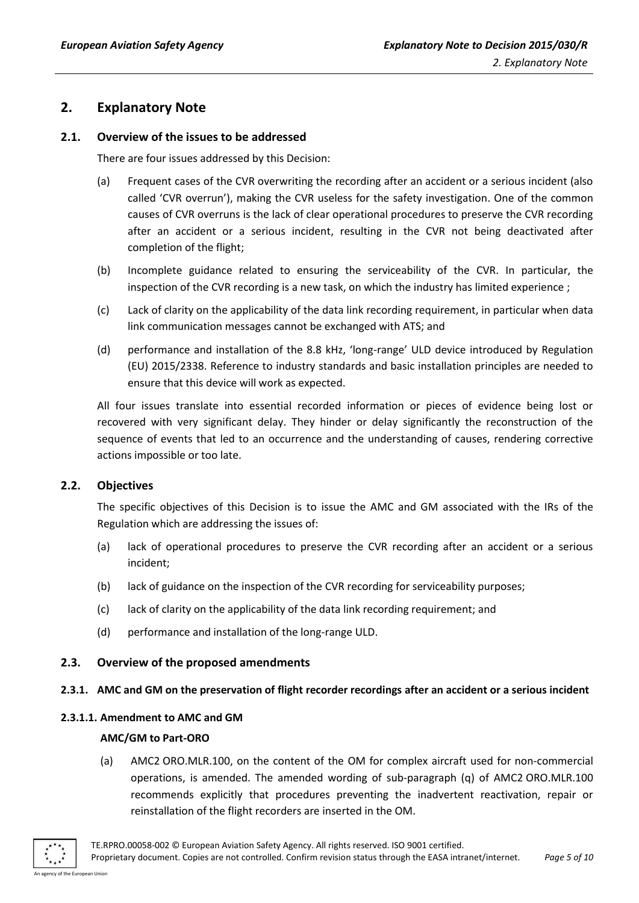### <span id="page-4-0"></span>**2. Explanatory Note**

#### <span id="page-4-1"></span>**2.1. Overview of the issues to be addressed**

There are four issues addressed by this Decision:

- (a) Frequent cases of the CVR overwriting the recording after an accident or a serious incident (also called 'CVR overrun'), making the CVR useless for the safety investigation. One of the common causes of CVR overruns is the lack of clear operational procedures to preserve the CVR recording after an accident or a serious incident, resulting in the CVR not being deactivated after completion of the flight;
- (b) Incomplete guidance related to ensuring the serviceability of the CVR. In particular, the inspection of the CVR recording is a new task, on which the industry has limited experience ;
- (c) Lack of clarity on the applicability of the data link recording requirement, in particular when data link communication messages cannot be exchanged with ATS; and
- (d) performance and installation of the 8.8 kHz, 'long-range' ULD device introduced by Regulation (EU) 2015/2338. Reference to industry standards and basic installation principles are needed to ensure that this device will work as expected.

All four issues translate into essential recorded information or pieces of evidence being lost or recovered with very significant delay. They hinder or delay significantly the reconstruction of the sequence of events that led to an occurrence and the understanding of causes, rendering corrective actions impossible or too late.

#### <span id="page-4-2"></span>**2.2. Objectives**

The specific objectives of this Decision is to issue the AMC and GM associated with the IRs of the Regulation which are addressing the issues of:

- (a) lack of operational procedures to preserve the CVR recording after an accident or a serious incident;
- (b) lack of guidance on the inspection of the CVR recording for serviceability purposes;
- (c) lack of clarity on the applicability of the data link recording requirement; and
- (d) performance and installation of the long-range ULD.

#### <span id="page-4-3"></span>**2.3. Overview of the proposed amendments**

#### <span id="page-4-4"></span>**2.3.1. AMC and GM on the preservation of flight recorder recordings after an accident or a serious incident**

#### <span id="page-4-5"></span>**2.3.1.1. Amendment to AMC and GM**

#### **AMC/GM to Part-ORO**

(a) AMC2 ORO.MLR.100, on the content of the OM for complex aircraft used for non-commercial operations, is amended. The amended wording of sub-paragraph (q) of AMC2 ORO.MLR.100 recommends explicitly that procedures preventing the inadvertent reactivation, repair or reinstallation of the flight recorders are inserted in the OM.

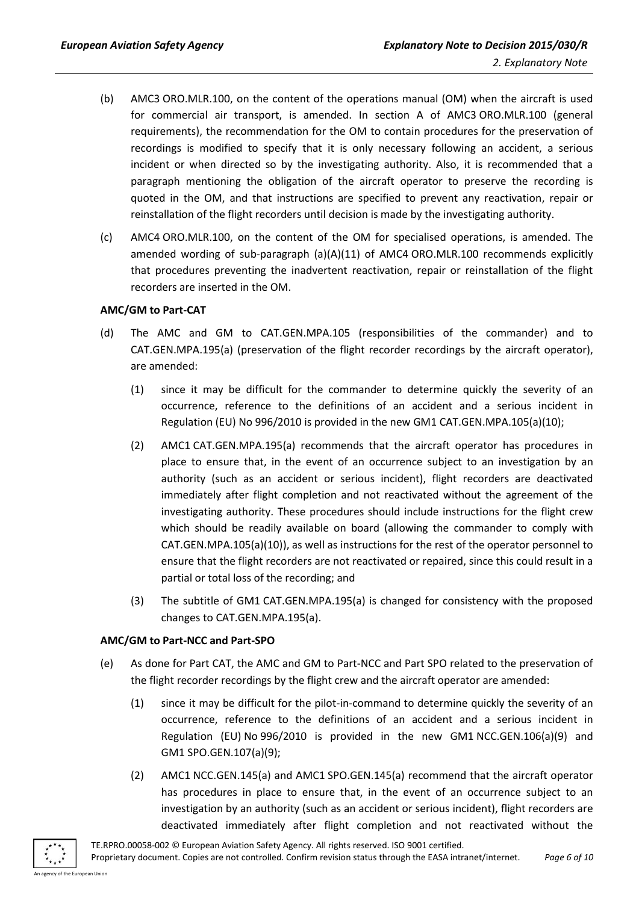- (b) AMC3 ORO.MLR.100, on the content of the operations manual (OM) when the aircraft is used for commercial air transport, is amended. In section A of AMC3 ORO.MLR.100 (general requirements), the recommendation for the OM to contain procedures for the preservation of recordings is modified to specify that it is only necessary following an accident, a serious incident or when directed so by the investigating authority. Also, it is recommended that a paragraph mentioning the obligation of the aircraft operator to preserve the recording is quoted in the OM, and that instructions are specified to prevent any reactivation, repair or reinstallation of the flight recorders until decision is made by the investigating authority.
- (c) AMC4 ORO.MLR.100, on the content of the OM for specialised operations, is amended. The amended wording of sub-paragraph  $(a)(A)(11)$  of AMC4 ORO.MLR.100 recommends explicitly that procedures preventing the inadvertent reactivation, repair or reinstallation of the flight recorders are inserted in the OM.

#### **AMC/GM to Part-CAT**

- (d) The AMC and GM to CAT.GEN.MPA.105 (responsibilities of the commander) and to CAT.GEN.MPA.195(a) (preservation of the flight recorder recordings by the aircraft operator), are amended:
	- (1) since it may be difficult for the commander to determine quickly the severity of an occurrence, reference to the definitions of an accident and a serious incident in Regulation (EU) No 996/2010 is provided in the new GM1 CAT.GEN.MPA.105(a)(10);
	- (2) AMC1 CAT.GEN.MPA.195(a) recommends that the aircraft operator has procedures in place to ensure that, in the event of an occurrence subject to an investigation by an authority (such as an accident or serious incident), flight recorders are deactivated immediately after flight completion and not reactivated without the agreement of the investigating authority. These procedures should include instructions for the flight crew which should be readily available on board (allowing the commander to comply with CAT.GEN.MPA.105(a)(10)), as well as instructions for the rest of the operator personnel to ensure that the flight recorders are not reactivated or repaired, since this could result in a partial or total loss of the recording; and
	- (3) The subtitle of GM1 CAT.GEN.MPA.195(a) is changed for consistency with the proposed changes to CAT.GEN.MPA.195(a).

#### **AMC/GM to Part-NCC and Part-SPO**

- (e) As done for Part CAT, the AMC and GM to Part-NCC and Part SPO related to the preservation of the flight recorder recordings by the flight crew and the aircraft operator are amended:
	- (1) since it may be difficult for the pilot-in-command to determine quickly the severity of an occurrence, reference to the definitions of an accident and a serious incident in Regulation (EU) No 996/2010 is provided in the new GM1 NCC.GEN.106(a)(9) and GM1 SPO.GEN.107(a)(9);
	- (2) AMC1 NCC.GEN.145(a) and AMC1 SPO.GEN.145(a) recommend that the aircraft operator has procedures in place to ensure that, in the event of an occurrence subject to an investigation by an authority (such as an accident or serious incident), flight recorders are deactivated immediately after flight completion and not reactivated without the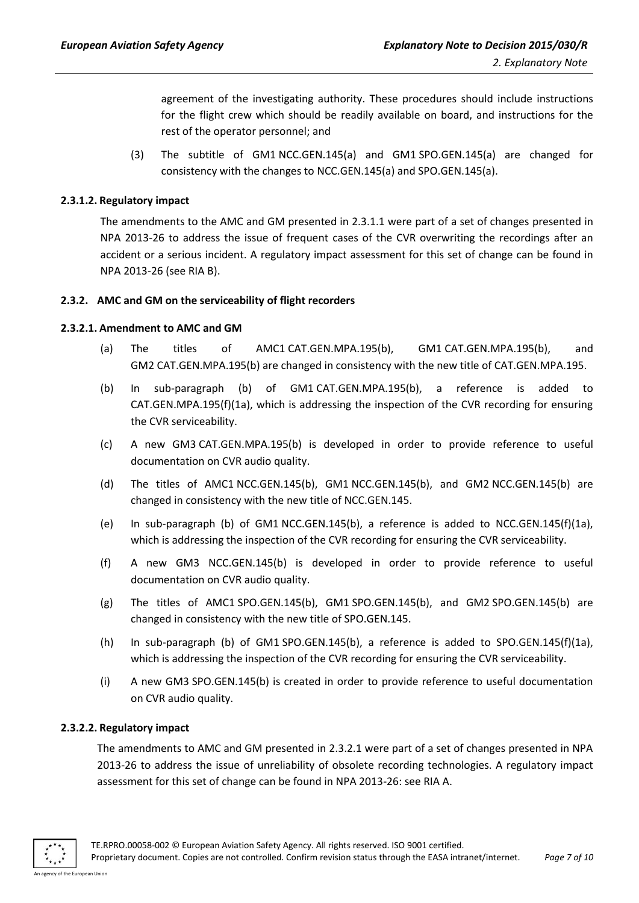agreement of the investigating authority. These procedures should include instructions for the flight crew which should be readily available on board, and instructions for the rest of the operator personnel; and

(3) The subtitle of GM1 NCC.GEN.145(a) and GM1 SPO.GEN.145(a) are changed for consistency with the changes to NCC.GEN.145(a) and SPO.GEN.145(a).

#### <span id="page-6-0"></span>**2.3.1.2. Regulatory impact**

The amendments to the AMC and GM presented in 2.3.1.1 were part of a set of changes presented in NPA 2013-26 to address the issue of frequent cases of the CVR overwriting the recordings after an accident or a serious incident. A regulatory impact assessment for this set of change can be found in NPA 2013-26 (see RIA B).

#### <span id="page-6-1"></span>**2.3.2. AMC and GM on the serviceability of flight recorders**

#### <span id="page-6-2"></span>**2.3.2.1. Amendment to AMC and GM**

- (a) The titles of AMC1 CAT.GEN.MPA.195(b), GM1 CAT.GEN.MPA.195(b), and GM2 CAT.GEN.MPA.195(b) are changed in consistency with the new title of CAT.GEN.MPA.195.
- (b) In sub-paragraph (b) of GM1 CAT.GEN.MPA.195(b), a reference is added to CAT.GEN.MPA.195(f)(1a), which is addressing the inspection of the CVR recording for ensuring the CVR serviceability.
- (c) A new GM3 CAT.GEN.MPA.195(b) is developed in order to provide reference to useful documentation on CVR audio quality.
- (d) The titles of AMC1 NCC.GEN.145(b), GM1 NCC.GEN.145(b), and GM2 NCC.GEN.145(b) are changed in consistency with the new title of NCC.GEN.145.
- (e) In sub-paragraph (b) of GM1 NCC.GEN.145(b), a reference is added to NCC.GEN.145(f)(1a), which is addressing the inspection of the CVR recording for ensuring the CVR serviceability.
- (f) A new GM3 NCC.GEN.145(b) is developed in order to provide reference to useful documentation on CVR audio quality.
- (g) The titles of AMC1 SPO.GEN.145(b), GM1 SPO.GEN.145(b), and GM2 SPO.GEN.145(b) are changed in consistency with the new title of SPO.GEN.145.
- (h) In sub-paragraph (b) of GM1 SPO.GEN.145(b), a reference is added to SPO.GEN.145(f)(1a), which is addressing the inspection of the CVR recording for ensuring the CVR serviceability.
- (i) A new GM3 SPO.GEN.145(b) is created in order to provide reference to useful documentation on CVR audio quality.

#### <span id="page-6-3"></span>**2.3.2.2. Regulatory impact**

The amendments to AMC and GM presented in 2.3.2.1 were part of a set of changes presented in NPA 2013-26 to address the issue of unreliability of obsolete recording technologies. A regulatory impact assessment for this set of change can be found in NPA 2013-26: see RIA A.

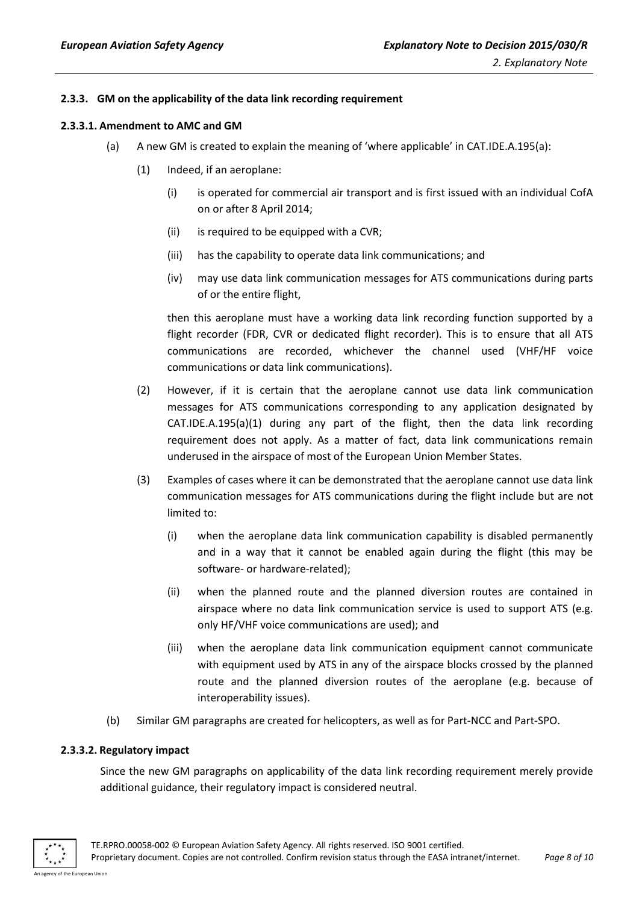#### <span id="page-7-0"></span>**2.3.3. GM on the applicability of the data link recording requirement**

#### <span id="page-7-1"></span>**2.3.3.1. Amendment to AMC and GM**

- (a) A new GM is created to explain the meaning of 'where applicable' in CAT.IDE.A.195(a):
	- (1) Indeed, if an aeroplane:
		- (i) is operated for commercial air transport and is first issued with an individual CofA on or after 8 April 2014;
		- (ii) is required to be equipped with a CVR;
		- (iii) has the capability to operate data link communications; and
		- (iv) may use data link communication messages for ATS communications during parts of or the entire flight,

then this aeroplane must have a working data link recording function supported by a flight recorder (FDR, CVR or dedicated flight recorder). This is to ensure that all ATS communications are recorded, whichever the channel used (VHF/HF voice communications or data link communications).

- (2) However, if it is certain that the aeroplane cannot use data link communication messages for ATS communications corresponding to any application designated by CAT.IDE.A.195(a)(1) during any part of the flight, then the data link recording requirement does not apply. As a matter of fact, data link communications remain underused in the airspace of most of the European Union Member States.
- (3) Examples of cases where it can be demonstrated that the aeroplane cannot use data link communication messages for ATS communications during the flight include but are not limited to:
	- (i) when the aeroplane data link communication capability is disabled permanently and in a way that it cannot be enabled again during the flight (this may be software- or hardware-related);
	- (ii) when the planned route and the planned diversion routes are contained in airspace where no data link communication service is used to support ATS (e.g. only HF/VHF voice communications are used); and
	- (iii) when the aeroplane data link communication equipment cannot communicate with equipment used by ATS in any of the airspace blocks crossed by the planned route and the planned diversion routes of the aeroplane (e.g. because of interoperability issues).
- (b) Similar GM paragraphs are created for helicopters, as well as for Part-NCC and Part-SPO.

#### <span id="page-7-2"></span>**2.3.3.2. Regulatory impact**

Since the new GM paragraphs on applicability of the data link recording requirement merely provide additional guidance, their regulatory impact is considered neutral.

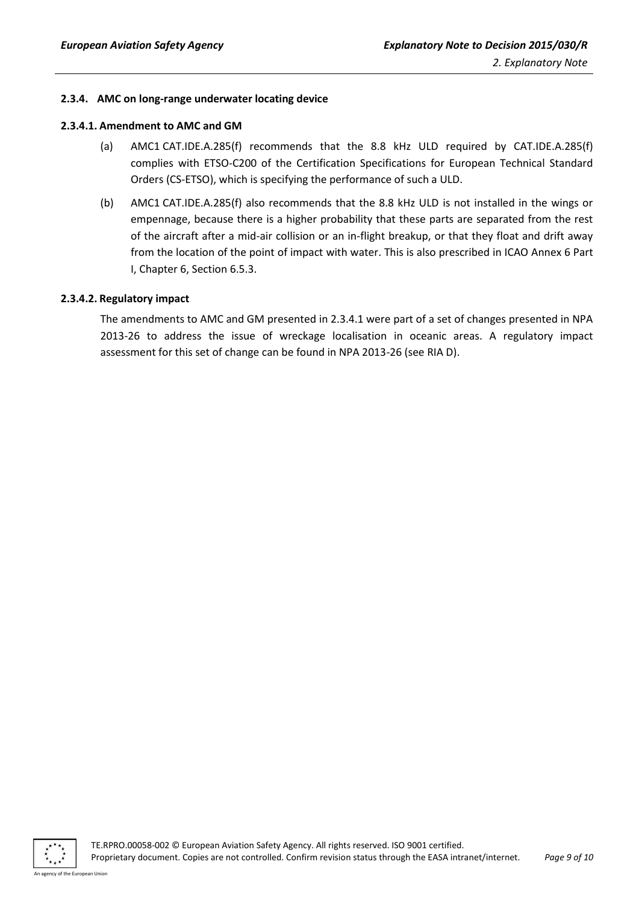#### <span id="page-8-0"></span>**2.3.4. AMC on long-range underwater locating device**

#### <span id="page-8-1"></span>**2.3.4.1. Amendment to AMC and GM**

- (a) AMC1 CAT.IDE.A.285(f) recommends that the 8.8 kHz ULD required by CAT.IDE.A.285(f) complies with ETSO-C200 of the Certification Specifications for European Technical Standard Orders (CS-ETSO), which is specifying the performance of such a ULD.
- (b) AMC1 CAT.IDE.A.285(f) also recommends that the 8.8 kHz ULD is not installed in the wings or empennage, because there is a higher probability that these parts are separated from the rest of the aircraft after a mid-air collision or an in-flight breakup, or that they float and drift away from the location of the point of impact with water. This is also prescribed in ICAO Annex 6 Part I, Chapter 6, Section 6.5.3.

#### <span id="page-8-2"></span>**2.3.4.2. Regulatory impact**

The amendments to AMC and GM presented in 2.3.4.1 were part of a set of changes presented in NPA 2013-26 to address the issue of wreckage localisation in oceanic areas. A regulatory impact assessment for this set of change can be found in NPA 2013-26 (see RIA D).